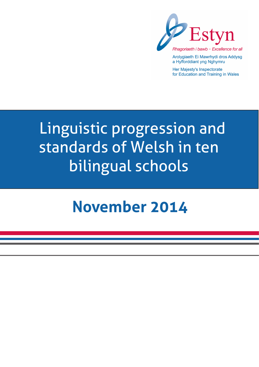

Arolygiaeth Ei Mawrhydi dros Addysg a Hyfforddiant yng Nghymru

Her Majesty's Inspectorate for Education and Training in Wales

# Linguistic progression and standards of Welsh in ten bilingual schools

# **November 2014**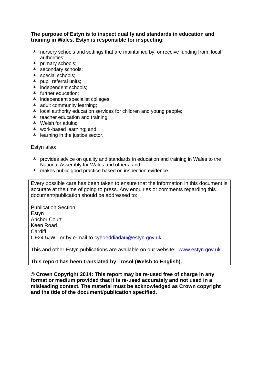#### **The purpose of Estyn is to inspect quality and standards in education and training in Wales. Estyn is responsible for inspecting:**

- A nursery schools and settings that are maintained by, or receive funding from, local authorities;
- $\lambda$  primary schools:
- A secondary schools;
- A special schools;
- $\blacktriangle$  pupil referral units;
- $\blacktriangle$  independent schools;
- $\blacktriangle$  further education:
- $\lambda$  independent specialist colleges;
- $\blacktriangle$  adult community learning;
- $\lambda$  local authority education services for children and young people;
- $\triangle$  teacher education and training;
- Welsh for adults;
- work-based learning; and
- $\blacktriangle$  learning in the justice sector.

Estyn also:

- A provides advice on quality and standards in education and training in Wales to the National Assembly for Wales and others; and
- A makes public good practice based on inspection evidence.

Every possible care has been taken to ensure that the information in this document is accurate at the time of going to press. Any enquiries or comments regarding this document/publication should be addressed to:

Publication Section Estyn Anchor Court Keen Road **Cardiff** CF24 5JW or by e-mail to [cyhoeddiadau@estyn.gov.uk](mailto:cyhoeddiadau@estyn.gov.uk)

This and other Estyn publications are available on our website: [www.estyn.gov.uk](http://www.estyn.gov.uk/)

#### **This report has been translated by Trosol (Welsh to English).**

**© Crown Copyright 2014: This report may be re-used free of charge in any format or medium provided that it is re-used accurately and not used in a misleading context. The material must be acknowledged as Crown copyright and the title of the document/publication specified.**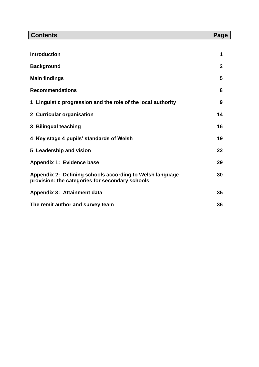| <b>Contents</b>                                                                                             | Page         |
|-------------------------------------------------------------------------------------------------------------|--------------|
|                                                                                                             |              |
| <b>Introduction</b>                                                                                         | 1            |
| <b>Background</b>                                                                                           | $\mathbf{2}$ |
| <b>Main findings</b>                                                                                        | 5            |
| <b>Recommendations</b>                                                                                      | 8            |
| 1 Linguistic progression and the role of the local authority                                                | 9            |
| 2 Curricular organisation                                                                                   | 14           |
| 3 Bilingual teaching                                                                                        | 16           |
| 4 Key stage 4 pupils' standards of Welsh                                                                    | 19           |
| 5 Leadership and vision                                                                                     | 22           |
| Appendix 1: Evidence base                                                                                   | 29           |
| Appendix 2: Defining schools according to Welsh language<br>provision: the categories for secondary schools | 30           |
| Appendix 3: Attainment data                                                                                 | 35           |
| The remit author and survey team                                                                            | 36           |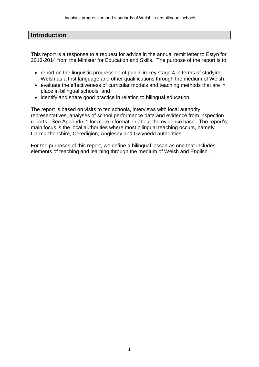#### **Introduction**

This report is a response to a request for advice in the annual remit letter to Estyn for 2013-2014 from the Minister for Education and Skills. The purpose of the report is to:

- report on the linguistic progression of pupils in key stage 4 in terms of studying Welsh as a first language and other qualifications through the medium of Welsh:
- evaluate the effectiveness of curricular models and teaching methods that are in place in bilingual schools; and
- identify and share good practice in relation to bilingual education.

The report is based on visits to ten schools, interviews with local authority representatives, analyses of school performance data and evidence from inspection reports. See Appendix 1 for more information about the evidence base. The report's main focus is the local authorities where most bilingual teaching occurs, namely Carmarthenshire, Ceredigion, Anglesey and Gwynedd authorities.

For the purposes of this report, we define a bilingual lesson as one that includes elements of teaching and learning through the medium of Welsh and English.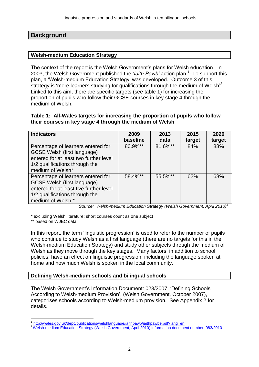#### **Background**

#### **Welsh-medium Education Strategy**

The context of the report is the Welsh Government's plans for Welsh education. In 2003, the Welsh Government published the *'Iaith Pawb'* action plan*. 1* To support this plan, a 'Welsh-medium Education Strategy' was developed. Outcome 3 of this strategy is 'more learners studying for qualifications through the medium of Welsh'<sup>2</sup>. Linked to this aim, there are specific targets (see table 1) for increasing the proportion of pupils who follow their GCSE courses in key stage 4 through the medium of Welsh.

#### **Table 1: All-Wales targets for increasing the proportion of pupils who follow their courses in key stage 4 through the medium of Welsh**

| <b>Indicators</b>                       | 2009     | 2013    | 2015   | 2020   |
|-----------------------------------------|----------|---------|--------|--------|
|                                         | baseline | data    | target | target |
| Percentage of learners entered for      | 80.9%**  | 81.6%** | 84%    | 88%    |
| GCSE Welsh (first language)             |          |         |        |        |
| entered for at least two further level  |          |         |        |        |
| 1/2 qualifications through the          |          |         |        |        |
| medium of Welsh*                        |          |         |        |        |
| Percentage of learners entered for      | 58.4%**  | 55.5%** | 62%    | 68%    |
| <b>GCSE Welsh (first language)</b>      |          |         |        |        |
| entered for at least five further level |          |         |        |        |
| 1/2 qualifications through the          |          |         |        |        |
| medium of Welsh *                       |          |         |        |        |

<span id="page-4-0"></span>*Source: Welsh-medium Education Strategy (Welsh Government, April 2010)[2](#page-4-0)*

\* excluding Welsh literature; short courses count as one subject

\*\* based on WJEC data

In this report, the term 'linguistic progression' is used to refer to the number of pupils who continue to study Welsh as a first language (there are no targets for this in the Welsh-medium Education Strategy) and study other subjects through the medium of Welsh as they move through the key stages. Many factors, in addition to school policies, have an effect on linguistic progression, including the language spoken at home and how much Welsh is spoken in the local community.

#### **Defining Welsh-medium schools and bilingual schools**

The Welsh Government's Information Document: 023/2007: 'Defining Schools According to Welsh-medium Provision', (Welsh Government, October 2007), categorises schools according to Welsh-medium provision. See Appendix 2 for details.

 1 <http://wales.gov.uk/depc/publications/welshlanguage/iaithpawb/iaithpawbe.pdf?lang=en>

<sup>2</sup> [Welsh-medium Education Strategy \(Welsh Government, April 2010\) Information document number: 083/2010](http://wales.gov.uk/topics/educationandskills/publications/guidance/welshmededstrat/?lang=en)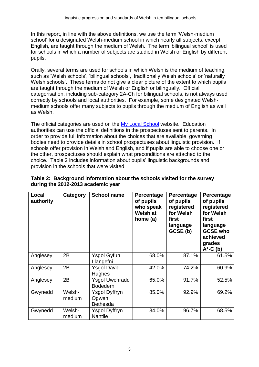In this report, in line with the above definitions, we use the term 'Welsh-medium school' for a designated Welsh-medium school in which nearly all subjects, except English, are taught through the medium of Welsh. The term 'bilingual school' is used for schools in which a number of subjects are studied in Welsh or English by different pupils.

Orally, several terms are used for schools in which Welsh is the medium of teaching, such as 'Welsh schools', 'bilingual schools', 'traditionally Welsh schools' or 'naturally Welsh schools'. These terms do not give a clear picture of the extent to which pupils are taught through the medium of Welsh or English or bilingually. Official categorisation, including sub-category 2A-Ch for bilingual schools, is not always used correctly by schools and local authorities. For example, some designated Welshmedium schools offer many subjects to pupils through the medium of English as well as Welsh.

The official categories are used on the [My Local School](http://mylocalschool.wales.gov.uk/) website. Education authorities can use the official definitions in the prospectuses sent to parents. In order to provide full information about the choices that are available, governing bodies need to provide details in school prospectuses about linguistic provision. If schools offer provision in Welsh and English, and if pupils are able to choose one or the other, prospectuses should explain what preconditions are attached to the choice. Table 2 includes information about pupils' linguistic backgrounds and provision in the schools that were visited.

| Local<br>authority | Category         | <b>School name</b>                        | Percentage<br>of pupils<br>who speak<br><b>Welsh at</b><br>home (a) | Percentage<br>of pupils<br>registered<br>for Welsh<br>first<br>language<br>GCSE (b) | <b>Percentage</b><br>of pupils<br>registered<br>for Welsh<br>first<br>language<br><b>GCSE who</b><br>achieved<br>grades<br>$A^*$ -C $(b)$ |  |
|--------------------|------------------|-------------------------------------------|---------------------------------------------------------------------|-------------------------------------------------------------------------------------|-------------------------------------------------------------------------------------------------------------------------------------------|--|
| Anglesey           | 2B               | Ysgol Gyfun<br>Llangefni                  | 68.0%                                                               | 87.1%                                                                               | 61.5%                                                                                                                                     |  |
| Anglesey           | 2B               | <b>Ysgol David</b><br>Hughes              | 42.0%                                                               | 74.2%                                                                               | 60.9%                                                                                                                                     |  |
| Anglesey           | 2B               | <b>Ysgol Uwchradd</b><br><b>Bodedern</b>  | 65.0%                                                               | 91.7%                                                                               | 52.5%                                                                                                                                     |  |
| Gwynedd            | Welsh-<br>medium | Ysgol Dyffryn<br>Ogwen<br><b>Bethesda</b> | 85.0%                                                               | 92.9%                                                                               | 69.2%                                                                                                                                     |  |
| Gwynedd            | Welsh-<br>medium | Ysgol Dyffryn<br><b>Nantlle</b>           | 84.0%                                                               | 96.7%                                                                               | 68.5%                                                                                                                                     |  |

#### **Table 2: Background information about the schools visited for the survey during the 2012-2013 academic year**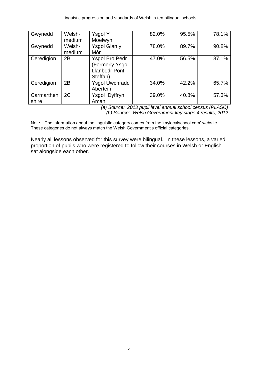Linguistic progression and standards of Welsh in ten bilingual schools

| Gwynedd             | Welsh-<br>medium | Ysgol Y<br>Moelwyn                                                           | 82.0% | 95.5% | 78.1% |
|---------------------|------------------|------------------------------------------------------------------------------|-------|-------|-------|
| Gwynedd             | Welsh-<br>medium | Ysgol Glan y<br>Môr                                                          | 78.0% | 89.7% | 90.8% |
| Ceredigion          | 2B               | <b>Ysgol Bro Pedr</b><br>(Formerly Ysgol<br><b>Llanbedr Pont</b><br>Steffan) | 47.0% | 56.5% | 87.1% |
| Ceredigion          | 2B               | <b>Ysgol Uwchradd</b><br>Aberteifi                                           | 34.0% | 42.2% | 65.7% |
| Carmarthen<br>shire | 2C               | Ysgol Dyffryn<br>Aman                                                        | 39.0% | 40.8% | 57.3% |

*(a) Source: 2013 pupil level annual school census (PLASC) (b) Source: Welsh Government key stage 4 results, 2012*

Note – The information about the linguistic category comes from the 'mylocalschool.com' website. These categories do not always match the Welsh Government's official categories.

Nearly all lessons observed for this survey were bilingual. In these lessons, a varied proportion of pupils who were registered to follow their courses in Welsh or English sat alongside each other.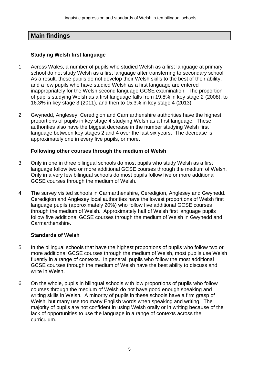# **Main findings**

#### **Studying Welsh first language**

- 1 Across Wales, a number of pupils who studied Welsh as a first language at primary school do not study Welsh as a first language after transferring to secondary school. As a result, these pupils do not develop their Welsh skills to the best of their ability, and a few pupils who have studied Welsh as a first language are entered inappropriately for the Welsh second language GCSE examination. The proportion of pupils studying Welsh as a first language falls from 19.8% in key stage 2 (2008), to 16.3% in key stage 3 (2011), and then to 15.3% in key stage 4 (2013).
- 2 Gwynedd, Anglesey, Ceredigion and Carmarthenshire authorities have the highest proportions of pupils in key stage 4 studying Welsh as a first language. These authorities also have the biggest decrease in the number studying Welsh first language between key stages 2 and 4 over the last six years. The decrease is approximately one in every five pupils, or more.

#### **Following other courses through the medium of Welsh**

- 3 Only in one in three bilingual schools do most pupils who study Welsh as a first language follow two or more additional GCSE courses through the medium of Welsh. Only in a very few bilingual schools do most pupils follow five or more additional GCSE courses through the medium of Welsh.
- 4 The survey visited schools in Carmarthenshire, Ceredigion, Anglesey and Gwynedd. Ceredigion and Anglesey local authorities have the lowest proportions of Welsh first language pupils (approximately 20%) who follow five additional GCSE courses through the medium of Welsh. Approximately half of Welsh first language pupils follow five additional GCSE courses through the medium of Welsh in Gwynedd and Carmarthenshire.

#### **Standards of Welsh**

- 5 In the bilingual schools that have the highest proportions of pupils who follow two or more additional GCSE courses through the medium of Welsh, most pupils use Welsh fluently in a range of contexts. In general, pupils who follow the most additional GCSE courses through the medium of Welsh have the best ability to discuss and write in Welsh.
- 6 On the whole, pupils in bilingual schools with low proportions of pupils who follow courses through the medium of Welsh do not have good enough speaking and writing skills in Welsh. A minority of pupils in these schools have a firm grasp of Welsh, but many use too many English words when speaking and writing. The majority of pupils are not confident in using Welsh orally or in writing because of the lack of opportunities to use the language in a range of contexts across the curriculum.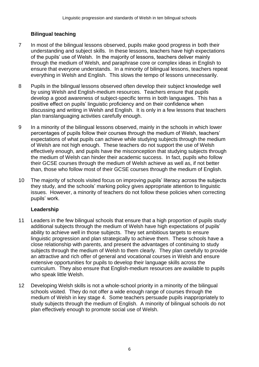# **Bilingual teaching**

- 7 In most of the bilingual lessons observed, pupils make good progress in both their understanding and subject skills. In these lessons, teachers have high expectations of the pupils' use of Welsh. In the majority of lessons, teachers deliver mainly through the medium of Welsh, and paraphrase core or complex ideas in English to ensure that everyone understands. In a minority of bilingual lessons, teachers repeat everything in Welsh and English. This slows the tempo of lessons unnecessarily.
- 8 Pupils in the bilingual lessons observed often develop their subject knowledge well by using Welsh and English-medium resources. Teachers ensure that pupils develop a good awareness of subject-specific terms in both languages. This has a positive effect on pupils' linguistic proficiency and on their confidence when discussing and writing in Welsh and English. It is only in a few lessons that teachers plan translanguaging activities carefully enough.
- 9 In a minority of the bilingual lessons observed, mainly in the schools in which lower percentages of pupils follow their courses through the medium of Welsh, teachers' expectations of what pupils can achieve while studying subjects through the medium of Welsh are not high enough. These teachers do not support the use of Welsh effectively enough, and pupils have the misconception that studying subjects through the medium of Welsh can hinder their academic success. In fact, pupils who follow their GCSE courses through the medium of Welsh achieve as well as, if not better than, those who follow most of their GCSE courses through the medium of English.
- 10 The majority of schools visited focus on improving pupils' literacy across the subjects they study, and the schools' marking policy gives appropriate attention to linguistic issues. However, a minority of teachers do not follow these policies when correcting pupils' work.

# **Leadership**

- 11 Leaders in the few bilingual schools that ensure that a high proportion of pupils study additional subjects through the medium of Welsh have high expectations of pupils' ability to achieve well in those subjects. They set ambitious targets to ensure linguistic progression and plan strategically to achieve them. These schools have a close relationship with parents, and present the advantages of continuing to study subjects through the medium of Welsh to them clearly. They plan carefully to provide an attractive and rich offer of general and vocational courses in Welsh and ensure extensive opportunities for pupils to develop their language skills across the curriculum. They also ensure that English-medium resources are available to pupils who speak little Welsh.
- 12 Developing Welsh skills is not a whole-school priority in a minority of the bilingual schools visited. They do not offer a wide enough range of courses through the medium of Welsh in key stage 4. Some teachers persuade pupils inappropriately to study subjects through the medium of English. A minority of bilingual schools do not plan effectively enough to promote social use of Welsh.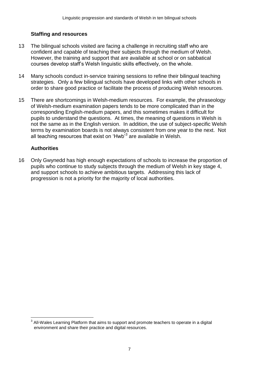#### **Staffing and resources**

- 13 The bilingual schools visited are facing a challenge in recruiting staff who are confident and capable of teaching their subjects through the medium of Welsh. However, the training and support that are available at school or on sabbatical courses develop staff's Welsh linguistic skills effectively, on the whole.
- 14 Many schools conduct in-service training sessions to refine their bilingual teaching strategies. Only a few bilingual schools have developed links with other schools in order to share good practice or facilitate the process of producing Welsh resources.
- 15 There are shortcomings in Welsh-medium resources. For example, the phraseology of Welsh-medium examination papers tends to be more complicated than in the corresponding English-medium papers, and this sometimes makes it difficult for pupils to understand the questions. At times, the meaning of questions in Welsh is not the same as in the English version. In addition, the use of subject-specific Welsh terms by examination boards is not always consistent from one year to the next. Not all teaching resources that exist on 'Hwb<sup>'3</sup> are available in Welsh.

#### **Authorities**

 $\overline{a}$ 

16 Only Gwynedd has high enough expectations of schools to increase the proportion of pupils who continue to study subjects through the medium of Welsh in key stage 4, and support schools to achieve ambitious targets. Addressing this lack of progression is not a priority for the majority of local authorities.

<sup>3</sup> All-Wales Learning Platform that aims to support and promote teachers to operate in a digital environment and share their practice and digital resources.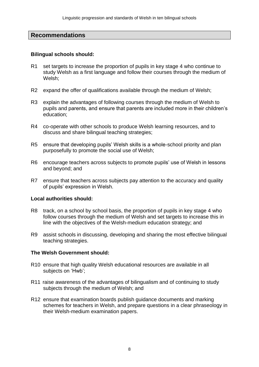#### **Recommendations**

#### **Bilingual schools should:**

- R1 set targets to increase the proportion of pupils in key stage 4 who continue to study Welsh as a first language and follow their courses through the medium of Welsh;
- R2 expand the offer of qualifications available through the medium of Welsh;
- R3 explain the advantages of following courses through the medium of Welsh to pupils and parents, and ensure that parents are included more in their children's education;
- R4 co-operate with other schools to produce Welsh learning resources, and to discuss and share bilingual teaching strategies;
- R5 ensure that developing pupils' Welsh skills is a whole-school priority and plan purposefully to promote the social use of Welsh;
- R6 encourage teachers across subjects to promote pupils' use of Welsh in lessons and beyond; and
- R7 ensure that teachers across subjects pay attention to the accuracy and quality of pupils' expression in Welsh.

#### **Local authorities should:**

- R8 track, on a school by school basis, the proportion of pupils in key stage 4 who follow courses through the medium of Welsh and set targets to increase this in line with the objectives of the Welsh-medium education strategy; and
- R9 assist schools in discussing, developing and sharing the most effective bilingual teaching strategies.

#### **The Welsh Government should:**

- R10 ensure that high quality Welsh educational resources are available in all subjects on 'Hwb';
- R11 raise awareness of the advantages of bilingualism and of continuing to study subjects through the medium of Welsh; and
- R12 ensure that examination boards publish guidance documents and marking schemes for teachers in Welsh, and prepare questions in a clear phraseology in their Welsh-medium examination papers.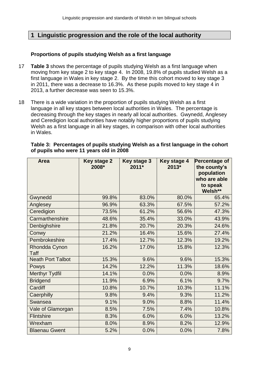# **1 Linguistic progression and the role of the local authority**

#### **Proportions of pupils studying Welsh as a first language**

- 17 **Table 3** shows the percentage of pupils studying Welsh as a first language when moving from key stage 2 to key stage 4. In 2008, 19.8% of pupils studied Welsh as a first language in Wales in key stage 2. By the time this cohort moved to key stage 3 in 2011, there was a decrease to 16.3%. As these pupils moved to key stage 4 in 2013, a further decrease was seen to 15.3%.
- 18 There is a wide variation in the proportion of pupils studying Welsh as a first language in all key stages between local authorities in Wales. The percentage is decreasing through the key stages in nearly all local authorities. Gwynedd, Anglesey and Ceredigion local authorities have notably higher proportions of pupils studying Welsh as a first language in all key stages, in comparison with other local authorities in Wales.

| <b>Area</b>                  | <b>Key stage 2</b><br>2008* | Key stage 3<br>$2011*$ | Key stage 4<br>$2013*$ | Percentage of<br>the county's<br>population<br>who are able<br>to speak<br>Welsh** |
|------------------------------|-----------------------------|------------------------|------------------------|------------------------------------------------------------------------------------|
| Gwynedd                      | 99.8%                       | 83.0%                  | 80.0%                  | 65.4%                                                                              |
| Anglesey                     | 96.9%                       | 63.3%                  | 67.5%                  | 57.2%                                                                              |
| Ceredigion                   | 73.5%                       | 61.2%                  | 56.6%                  | 47.3%                                                                              |
| Carmarthenshire              | 48.6%                       | 35.4%                  | 33.0%                  | 43.9%                                                                              |
| Denbighshire                 | 21.8%                       | 20.7%                  | 20.3%                  | 24.6%                                                                              |
| Conwy                        | 21.2%                       | 16.4%                  | 15.6%                  | 27.4%                                                                              |
| Pembrokeshire                | 17.4%                       | 12.7%                  | 12.3%                  | 19.2%                                                                              |
| Rhondda Cynon<br><b>Taff</b> | 16.2%                       | 17.0%                  | 15.8%                  | 12.3%                                                                              |
| <b>Neath Port Talbot</b>     | 15.3%                       | 9.6%                   | 9.6%                   | 15.3%                                                                              |
| Powys                        | 14.2%                       | 12.2%                  | 11.3%                  | 18.6%                                                                              |
| <b>Merthyr Tydfil</b>        | 14.1%                       | 0.0%                   | 0.0%                   | 8.9%                                                                               |
| <b>Bridgend</b>              | 11.9%                       | 6.9%                   | 6.1%                   | 9.7%                                                                               |
| Cardiff                      | 10.8%                       | 10.7%                  | 10.3%                  | 11.1%                                                                              |
| Caerphilly                   | 9.8%                        | 9.4%                   | 9.3%                   | 11.2%                                                                              |
| Swansea                      | 9.1%                        | 9.0%                   | 8.8%                   | 11.4%                                                                              |
| Vale of Glamorgan            | 8.5%                        | 7.5%                   | 7.4%                   | 10.8%                                                                              |
| Flintshire                   | 8.3%                        | 6.0%                   | 6.0%                   | 13.2%                                                                              |
| Wrexham                      | 8.0%                        | 8.9%                   | 8.2%                   | 12.9%                                                                              |
| <b>Blaenau Gwent</b>         | 5.2%                        | 0.0%                   | 0.0%                   | 7.8%                                                                               |

**Table 3: Percentages of pupils studying Welsh as a first language in the cohort of pupils who were 11 years old in 2008**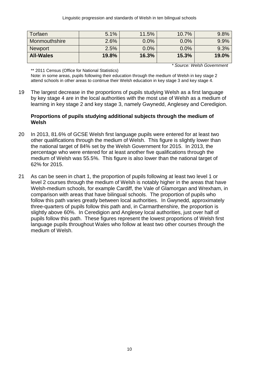| Torfaen          | 5.1%  | 11.5% | 10.7% | 9.8%  |
|------------------|-------|-------|-------|-------|
| Monmouthshire    | 2.6%  | 0.0%  | 0.0%  | 9.9%  |
| <b>Newport</b>   | 2.5%  | 0.0%  | 0.0%  | 9.3%  |
| <b>All-Wales</b> | 19.8% | 16.3% | 15.3% | 19.0% |

*\* Source: Welsh Government*

\*\* 2011 Census (Office for National Statistics)

Note: in some areas, pupils following their education through the medium of Welsh in key stage 2 attend schools in other areas to continue their Welsh education in key stage 3 and key stage 4.

19 The largest decrease in the proportions of pupils studying Welsh as a first language by key stage 4 are in the local authorities with the most use of Welsh as a medium of learning in key stage 2 and key stage 3, namely Gwynedd, Anglesey and Ceredigion.

#### **Proportions of pupils studying additional subjects through the medium of Welsh**

- 20 In 2013, 81.6% of GCSE Welsh first language pupils were entered for at least two other qualifications through the medium of Welsh. This figure is slightly lower than the national target of 84% set by the Welsh Government for 2015. In 2013, the percentage who were entered for at least another five qualifications through the medium of Welsh was 55.5%. This figure is also lower than the national target of 62% for 2015.
- 21 As can be seen in chart 1, the proportion of pupils following at least two level 1 or level 2 courses through the medium of Welsh is notably higher in the areas that have Welsh-medium schools, for example Cardiff, the Vale of Glamorgan and Wrexham, in comparison with areas that have bilingual schools. The proportion of pupils who follow this path varies greatly between local authorities. In Gwynedd, approximately three-quarters of pupils follow this path and, in Carmarthenshire, the proportion is slightly above 60%. In Ceredigion and Anglesey local authorities, just over half of pupils follow this path. These figures represent the lowest proportions of Welsh first language pupils throughout Wales who follow at least two other courses through the medium of Welsh.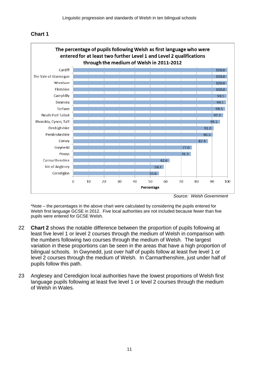



\*Note – the percentages in the above chart were calculated by considering the pupils entered for Welsh first language GCSE in 2012. Five local authorities are not included because fewer than five pupils were entered for GCSE Welsh.

- 22 **Chart 2** shows the notable difference between the proportion of pupils following at least five level 1 or level 2 courses through the medium of Welsh in comparison with the numbers following two courses through the medium of Welsh. The largest variation in these proportions can be seen in the areas that have a high proportion of bilingual schools. In Gwynedd, just over half of pupils follow at least five level 1 or level 2 courses through the medium of Welsh. In Carmarthenshire, just under half of pupils follow this path.
- 23 Anglesey and Ceredigion local authorities have the lowest proportions of Welsh first language pupils following at least five level 1 or level 2 courses through the medium of Welsh in Wales.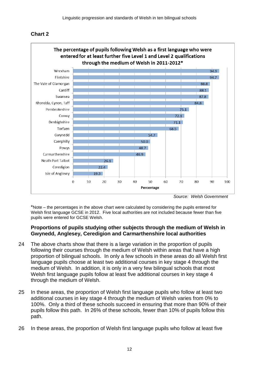### **Chart 2**



*Source: Welsh Government*

\*Note – the percentages in the above chart were calculated by considering the pupils entered for Welsh first language GCSE in 2012. Five local authorities are not included because fewer than five pupils were entered for GCSE Welsh.

#### **Proportions of pupils studying other subjects through the medium of Welsh in Gwynedd, Anglesey, Ceredigion and Carmarthenshire local authorities**

- 24 The above charts show that there is a large variation in the proportion of pupils following their courses through the medium of Welsh within areas that have a high proportion of bilingual schools. In only a few schools in these areas do all Welsh first language pupils choose at least two additional courses in key stage 4 through the medium of Welsh. In addition, it is only in a very few bilingual schools that most Welsh first language pupils follow at least five additional courses in key stage 4 through the medium of Welsh.
- 25 In these areas, the proportion of Welsh first language pupils who follow at least two additional courses in key stage 4 through the medium of Welsh varies from 0% to 100%. Only a third of these schools succeed in ensuring that more than 90% of their pupils follow this path. In 26% of these schools, fewer than 10% of pupils follow this path.
- 26 In these areas, the proportion of Welsh first language pupils who follow at least five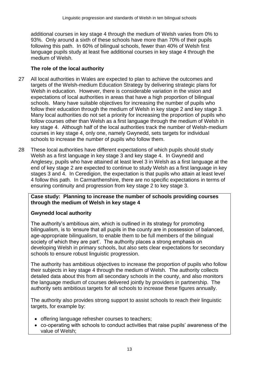additional courses in key stage 4 through the medium of Welsh varies from 0% to 93%. Only around a sixth of these schools have more than 70% of their pupils following this path. In 60% of bilingual schools, fewer than 40% of Welsh first language pupils study at least five additional courses in key stage 4 through the medium of Welsh.

#### **The role of the local authority**

- 27 All local authorities in Wales are expected to plan to achieve the outcomes and targets of the Welsh-medium Education Strategy by delivering strategic plans for Welsh in education. However, there is considerable variation in the vision and expectations of local authorities in areas that have a high proportion of bilingual schools. Many have suitable objectives for increasing the number of pupils who follow their education through the medium of Welsh in key stage 2 and key stage 3. Many local authorities do not set a priority for increasing the proportion of pupils who follow courses other than Welsh as a first language through the medium of Welsh in key stage 4. Although half of the local authorities track the number of Welsh-medium courses in key stage 4, only one, namely Gwynedd, sets targets for individual schools to increase the number of pupils who follow them.
- 28 These local authorities have different expectations of which pupils should study Welsh as a first language in key stage 3 and key stage 4. In Gwynedd and Anglesey, pupils who have attained at least level 3 in Welsh as a first language at the end of key stage 2 are expected to continue to study Welsh as a first language in key stages 3 and 4. In Ceredigion, the expectation is that pupils who attain at least level 4 follow this path. In Carmarthenshire, there are no specific expectations in terms of ensuring continuity and progression from key stage 2 to key stage 3.

#### **Case study: Planning to increase the number of schools providing courses through the medium of Welsh in key stage 4**

#### **Gwynedd local authority**

The authority's ambitious aim, which is outlined in its strategy for promoting bilingualism, is to 'ensure that all pupils in the county are in possession of balanced, age-appropriate bilingualism, to enable them to be full members of the bilingual society of which they are part'. The authority places a strong emphasis on developing Welsh in primary schools, but also sets clear expectations for secondary schools to ensure robust linguistic progression.

The authority has ambitious objectives to increase the proportion of pupils who follow their subjects in key stage 4 through the medium of Welsh. The authority collects detailed data about this from all secondary schools in the county, and also monitors the language medium of courses delivered jointly by providers in partnership. The authority sets ambitious targets for all schools to increase these figures annually.

The authority also provides strong support to assist schools to reach their linguistic targets, for example by:

- offering language refresher courses to teachers;
- co-operating with schools to conduct activities that raise pupils' awareness of the value of Welsh;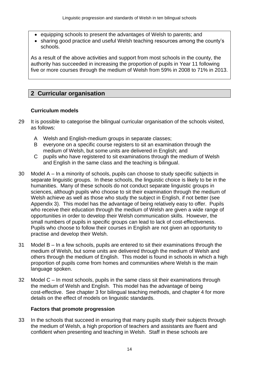- equipping schools to present the advantages of Welsh to parents; and
- sharing good practice and useful Welsh teaching resources among the county's schools.

As a result of the above activities and support from most schools in the county, the authority has succeeded in increasing the proportion of pupils in Year 11 following five or more courses through the medium of Welsh from 59% in 2008 to 71% in 2013.

# **2 Curricular organisation**

#### **Curriculum models**

- 29 It is possible to categorise the bilingual curricular organisation of the schools visited, as follows:
	- A Welsh and English-medium groups in separate classes;
	- B everyone on a specific course registers to sit an examination through the medium of Welsh, but some units are delivered in English; and
	- C pupils who have registered to sit examinations through the medium of Welsh and English in the same class and the teaching is bilingual.
- 30 Model A In a minority of schools, pupils can choose to study specific subjects in separate linguistic groups. In these schools, the linguistic choice is likely to be in the humanities. Many of these schools do not conduct separate linguistic groups in sciences, although pupils who choose to sit their examination through the medium of Welsh achieve as well as those who study the subject in English, if not better (see Appendix 3). This model has the advantage of being relatively easy to offer. Pupils who receive their education through the medium of Welsh are given a wide range of opportunities in order to develop their Welsh communication skills. However, the small numbers of pupils in specific groups can lead to lack of cost-effectiveness. Pupils who choose to follow their courses in English are not given an opportunity to practise and develop their Welsh.
- 31 Model B In a few schools, pupils are entered to sit their examinations through the medium of Welsh, but some units are delivered through the medium of Welsh and others through the medium of English. This model is found in schools in which a high proportion of pupils come from homes and communities where Welsh is the main language spoken.
- 32 Model C In most schools, pupils in the same class sit their examinations through the medium of Welsh and English. This model has the advantage of being cost-effective. See chapter 3 for bilingual teaching methods, and chapter 4 for more details on the effect of models on linguistic standards.

#### **Factors that promote progression**

33 In the schools that succeed in ensuring that many pupils study their subjects through the medium of Welsh, a high proportion of teachers and assistants are fluent and confident when presenting and teaching in Welsh. Staff in these schools are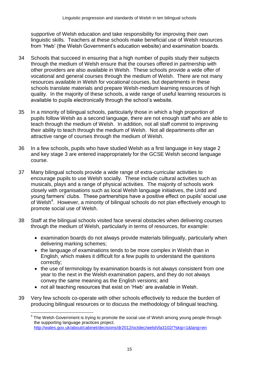supportive of Welsh education and take responsibility for improving their own linguistic skills. Teachers at these schools make beneficial use of Welsh resources from 'Hwb' (the Welsh Government's education website) and examination boards.

- 34 Schools that succeed in ensuring that a high number of pupils study their subjects through the medium of Welsh ensure that the courses offered in partnership with other providers are also available in Welsh. These schools provide a wide offer of vocational and general courses through the medium of Welsh. There are not many resources available in Welsh for vocational courses, but departments in these schools translate materials and prepare Welsh-medium learning resources of high quality. In the majority of these schools, a wide range of useful learning resources is available to pupils electronically through the school's website.
- 35 In a minority of bilingual schools, particularly those in which a high proportion of pupils follow Welsh as a second language, there are not enough staff who are able to teach through the medium of Welsh. In addition, not all staff commit to improving their ability to teach through the medium of Welsh. Not all departments offer an attractive range of courses through the medium of Welsh.
- 36 In a few schools, pupils who have studied Welsh as a first language in key stage 2 and key stage 3 are entered inappropriately for the GCSE Welsh second language course.
- 37 Many bilingual schools provide a wide range of extra-curricular activities to encourage pupils to use Welsh socially. These include cultural activities such as musicals, plays and a range of physical activities. The majority of schools work closely with organisations such as local Welsh language initiatives, the Urdd and young farmers' clubs. These partnerships have a positive effect on pupils' social use of Welsh<sup>4</sup>. However, a minority of bilingual schools do not plan effectively enough to promote social use of Welsh.
- 38 Staff at the bilingual schools visited face several obstacles when delivering courses through the medium of Welsh, particularly in terms of resources, for example:
	- examination boards do not always provide materials bilingually, particularly when delivering marking schemes;
	- the language of examinations tends to be more complex in Welsh than in English, which makes it difficult for a few pupils to understand the questions correctly;
	- the use of terminology by examination boards is not always consistent from one year to the next in the Welsh examination papers, and they do not always convey the same meaning as the English versions; and
	- not all teaching resources that exist on 'Hwb' are available in Welsh.

 $\overline{a}$ 

39 Very few schools co-operate with other schools effectively to reduce the burden of producing bilingual resources or to discuss the methodology of bilingual teaching.

<sup>4</sup> The Welsh Government is trying to promote the social use of Welsh among young people through the supporting language practices project. <http://wales.gov.uk/about/cabinet/decisions/dr2012/octdec/welsh/la3102/?skip=1&lang=en>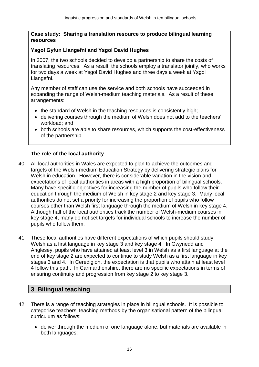#### **Case study: Sharing a translation resource to produce bilingual learning resources**

#### **Ysgol Gyfun Llangefni and Ysgol David Hughes**

In 2007, the two schools decided to develop a partnership to share the costs of translating resources. As a result, the schools employ a translator jointly, who works for two days a week at Ysgol David Hughes and three days a week at Ysgol Llangefni.

Any member of staff can use the service and both schools have succeeded in expanding the range of Welsh-medium teaching materials. As a result of these arrangements:

- the standard of Welsh in the teaching resources is consistently high;
- delivering courses through the medium of Welsh does not add to the teachers' workload; and
- both schools are able to share resources, which supports the cost-effectiveness of the partnership.

#### **The role of the local authority**

- 40 All local authorities in Wales are expected to plan to achieve the outcomes and targets of the Welsh-medium Education Strategy by delivering strategic plans for Welsh in education. However, there is considerable variation in the vision and expectations of local authorities in areas with a high proportion of bilingual schools. Many have specific objectives for increasing the number of pupils who follow their education through the medium of Welsh in key stage 2 and key stage 3. Many local authorities do not set a priority for increasing the proportion of pupils who follow courses other than Welsh first language through the medium of Welsh in key stage 4. Although half of the local authorities track the number of Welsh-medium courses in key stage 4, many do not set targets for individual schools to increase the number of pupils who follow them.
- 41 These local authorities have different expectations of which pupils should study Welsh as a first language in key stage 3 and key stage 4. In Gwynedd and Anglesey, pupils who have attained at least level 3 in Welsh as a first language at the end of key stage 2 are expected to continue to study Welsh as a first language in key stages 3 and 4. In Ceredigion, the expectation is that pupils who attain at least level 4 follow this path. In Carmarthenshire, there are no specific expectations in terms of ensuring continuity and progression from key stage 2 to key stage 3.

# **3 Bilingual teaching**

- 42 There is a range of teaching strategies in place in bilingual schools. It is possible to categorise teachers' teaching methods by the organisational pattern of the bilingual curriculum as follows:
	- deliver through the medium of one language alone, but materials are available in both languages;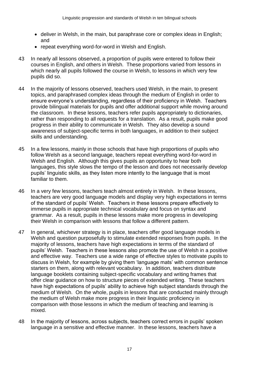- $\bullet$  deliver in Welsh, in the main, but paraphrase core or complex ideas in English; and
- repeat everything word-for-word in Welsh and English.
- 43 In nearly all lessons observed, a proportion of pupils were entered to follow their courses in English, and others in Welsh. These proportions varied from lessons in which nearly all pupils followed the course in Welsh, to lessons in which very few pupils did so.
- 44 In the majority of lessons observed, teachers used Welsh, in the main, to present topics, and paraphrased complex ideas through the medium of English in order to ensure everyone's understanding, regardless of their proficiency in Welsh. Teachers provide bilingual materials for pupils and offer additional support while moving around the classroom. In these lessons, teachers refer pupils appropriately to dictionaries, rather than responding to all requests for a translation. As a result, pupils make good progress in their ability to communicate in Welsh. They also develop a sound awareness of subject-specific terms in both languages, in addition to their subject skills and understanding.
- 45 In a few lessons, mainly in those schools that have high proportions of pupils who follow Welsh as a second language, teachers repeat everything word-for-word in Welsh and English. Although this gives pupils an opportunity to hear both languages, this style slows the tempo of the lesson and does not necessarily develop pupils' linguistic skills, as they listen more intently to the language that is most familiar to them.
- 46 In a very few lessons, teachers teach almost entirely in Welsh. In these lessons, teachers are very good language models and display very high expectations in terms of the standard of pupils' Welsh. Teachers in these lessons prepare effectively to immerse pupils in appropriate technical vocabulary and focus on syntax and grammar. As a result, pupils in these lessons make more progress in developing their Welsh in comparison with lessons that follow a different pattern.
- 47 In general, whichever strategy is in place, teachers offer good language models in Welsh and question purposefully to stimulate extended responses from pupils. In the majority of lessons, teachers have high expectations in terms of the standard of pupils' Welsh. Teachers in these lessons also promote the use of Welsh in a positive and effective way. Teachers use a wide range of effective styles to motivate pupils to discuss in Welsh, for example by giving them 'language mats' with common sentence starters on them, along with relevant vocabulary. In addition, teachers distribute language booklets containing subject-specific vocabulary and writing frames that offer clear guidance on how to structure pieces of extended writing. These teachers have high expectations of pupils' ability to achieve high subject standards through the medium of Welsh. On the whole, pupils in lessons that are conducted mainly through the medium of Welsh make more progress in their linguistic proficiency in comparison with those lessons in which the medium of teaching and learning is mixed.
- 48 In the majority of lessons, across subjects, teachers correct errors in pupils' spoken language in a sensitive and effective manner. In these lessons, teachers have a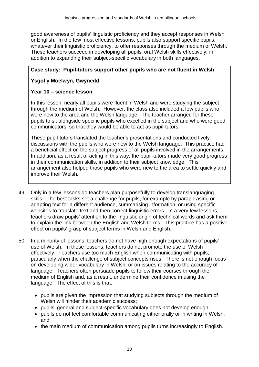good awareness of pupils' linguistic proficiency and they accept responses in Welsh or English. In the few most effective lessons, pupils also support specific pupils, whatever their linguistic proficiency, to offer responses through the medium of Welsh. These teachers succeed in developing all pupils' oral Welsh skills effectively, in addition to expanding their subject-specific vocabulary in both languages.

# **Case study: Pupil-tutors support other pupils who are not fluent in Welsh**

# **Ysgol y Moelwyn, Gwynedd**

### **Year 10 – science lesson**

In this lesson, nearly all pupils were fluent in Welsh and were studying the subject through the medium of Welsh. However, the class also included a few pupils who were new to the area and the Welsh language. The teacher arranged for these pupils to sit alongside specific pupils who excelled in the subject and who were good communicators, so that they would be able to act as pupil-tutors.

These pupil-tutors translated the teacher's presentations and conducted lively discussions with the pupils who were new to the Welsh language. This practice had a beneficial effect on the subject progress of all pupils involved in the arrangements. In addition, as a result of acting in this way, the pupil-tutors made very good progress in their communication skills, in addition to their subject knowledge. This arrangement also helped those pupils who were new to the area to settle quickly and improve their Welsh.

- 49 Only in a few lessons do teachers plan purposefully to develop translanguaging skills. The best tasks set a challenge for pupils, for example by paraphrasing or adapting text for a different audience, summarising information, or using specific websites to translate text and then correct linguistic errors. In a very few lessons, teachers draw pupils' attention to the linguistic origin of technical words and ask them to explain the link between the English and Welsh terms. This practice has a positive effect on pupils' grasp of subject terms in Welsh and English.
- 50 In a minority of lessons, teachers do not have high enough expectations of pupils' use of Welsh. In these lessons, teachers do not promote the use of Welsh effectively. Teachers use too much English when communicating with pupils, particularly when the challenge of subject concepts rises. There is not enough focus on developing wider vocabulary in Welsh, or on issues relating to the accuracy of language. Teachers often persuade pupils to follow their courses through the medium of English and, as a result, undermine their confidence in using the language. The effect of this is that:
	- pupils are given the impression that studying subjects through the medium of Welsh will hinder their academic success;
	- pupils' general and subject-specific vocabulary does not develop enough;
	- pupils do not feel comfortable communicating either orally or in writing in Welsh; and
	- the main medium of communication among pupils turns increasingly to English.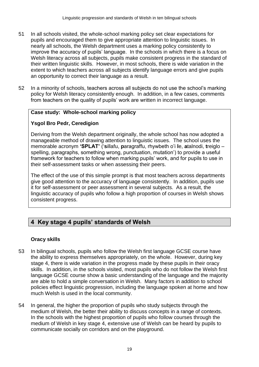- 51 In all schools visited, the whole-school marking policy set clear expectations for pupils and encouraged them to give appropriate attention to linguistic issues. In nearly all schools, the Welsh department uses a marking policy consistently to improve the accuracy of pupils' language. In the schools in which there is a focus on Welsh literacy across all subjects, pupils make consistent progress in the standard of their written linguistic skills. However, in most schools, there is wide variation in the extent to which teachers across all subjects identify language errors and give pupils an opportunity to correct their language as a result.
- 52 In a minority of schools, teachers across all subjects do not use the school's marking policy for Welsh literacy consistently enough. In addition, in a few cases, comments from teachers on the quality of pupils' work are written in incorrect language.

#### **Case study: Whole-school marking policy**

#### **Ysgol Bro Pedr, Ceredigion**

Deriving from the Welsh department originally, the whole school has now adopted a manageable method of drawing attention to linguistic issues. The school uses the memorable acronym **'SPLAT'** ('**s**illafu, **p**aragraffu, rhywbeth o'i **l**e, **a**talnodi, **t**reiglo – spelling, paragraphs, something wrong, punctuation, mutation') to provide a useful framework for teachers to follow when marking pupils' work, and for pupils to use in their self-assessment tasks or when assessing their peers.

The effect of the use of this simple prompt is that most teachers across departments give good attention to the accuracy of language consistently. In addition, pupils use it for self-assessment or peer assessment in several subjects. As a result, the linguistic accuracy of pupils who follow a high proportion of courses in Welsh shows consistent progress.

# **4 Key stage 4 pupils' standards of Welsh**

#### **Oracy skills**

- 53 In bilingual schools, pupils who follow the Welsh first language GCSE course have the ability to express themselves appropriately, on the whole. However, during key stage 4, there is wide variation in the progress made by these pupils in their oracy skills. In addition, in the schools visited, most pupils who do not follow the Welsh first language GCSE course show a basic understanding of the language and the majority are able to hold a simple conversation in Welsh. Many factors in addition to school policies effect linguistic progression, including the language spoken at home and how much Welsh is used in the local community.
- 54 In general, the higher the proportion of pupils who study subjects through the medium of Welsh, the better their ability to discuss concepts in a range of contexts. In the schools with the highest proportion of pupils who follow courses through the medium of Welsh in key stage 4, extensive use of Welsh can be heard by pupils to communicate socially on corridors and on the playground.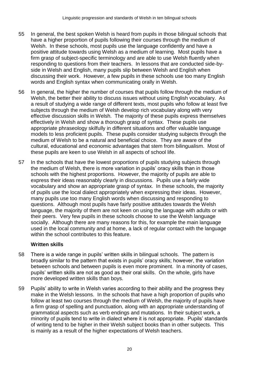- 55 In general, the best spoken Welsh is heard from pupils in those bilingual schools that have a higher proportion of pupils following their courses through the medium of Welsh. In these schools, most pupils use the language confidently and have a positive attitude towards using Welsh as a medium of learning. Most pupils have a firm grasp of subject-specific terminology and are able to use Welsh fluently when responding to questions from their teachers. In lessons that are conducted side-byside in Welsh and English, many pupils slip between Welsh and English when discussing their work. However, a few pupils in these schools use too many English words and English syntax when communicating orally in Welsh.
- 56 In general, the higher the number of courses that pupils follow through the medium of Welsh, the better their ability to discuss issues without using English vocabulary. As a result of studying a wide range of different texts, most pupils who follow at least five subjects through the medium of Welsh develop rich vocabulary along with very effective discussion skills in Welsh. The majority of these pupils express themselves effectively in Welsh and show a thorough grasp of syntax. These pupils use appropriate phraseology skilfully in different situations and offer valuable language models to less proficient pupils. These pupils consider studying subjects through the medium of Welsh to be a natural and beneficial choice. They are aware of the cultural, educational and economic advantages that stem from bilingualism. Most of these pupils are keen to use Welsh in all aspects of school life.
- 57 In the schools that have the lowest proportions of pupils studying subjects through the medium of Welsh, there is more variation in pupils' oracy skills than in those schools with the highest proportions. However, the majority of pupils are able to express their ideas reasonably clearly in discussions. Pupils use a fairly wide vocabulary and show an appropriate grasp of syntax. In these schools, the majority of pupils use the local dialect appropriately when expressing their ideas. However, many pupils use too many English words when discussing and responding to questions. Although most pupils have fairly positive attitudes towards the Welsh language, the majority of them are not keen on using the language with adults or with their peers. Very few pupils in these schools choose to use the Welsh language socially. Although there are many reasons for this, for example the main language used in the local community and at home, a lack of regular contact with the language within the school contributes to this feature.

# **Written skills**

- 58 There is a wide range in pupils' written skills in bilingual schools. The pattern is broadly similar to the pattern that exists in pupils' oracy skills; however, the variation between schools and between pupils is even more prominent. In a minority of cases, pupils' written skills are not as good as their oral skills. On the whole, girls have more developed written skills than boys.
- 59 Pupils' ability to write in Welsh varies according to their ability and the progress they make in the Welsh lessons. In the schools that have a high proportion of pupils who follow at least two courses through the medium of Welsh, the majority of pupils have a firm grasp of spelling and punctuation, along with an appropriate understanding of grammatical aspects such as verb endings and mutations. In their subject work, a minority of pupils tend to write in dialect where it is not appropriate. Pupils' standards of writing tend to be higher in their Welsh subject books than in other subjects. This is mainly as a result of the higher expectations of Welsh teachers.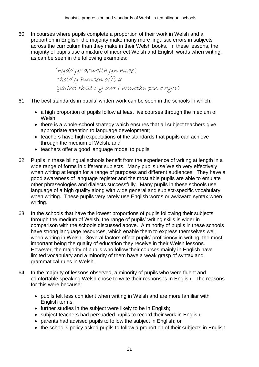60 In courses where pupils complete a proportion of their work in Welsh and a proportion in English, the majority make many more linguistic errors in subjects across the curriculum than they make in their Welsh books. In these lessons, the majority of pupils use a mixture of incorrect Welsh and English words when writing, as can be seen in the following examples:

> *'*Fydd yr adwaith yn huge', 'rhoid y Bunsen off', a 'gadael rhest o y dwr i anwethu pen e hyn'.

- 61 The best standards in pupils' written work can be seen in the schools in which:
	- a high proportion of pupils follow at least five courses through the medium of Welsh;
	- there is a whole-school strategy which ensures that all subject teachers give appropriate attention to language development;
	- teachers have high expectations of the standards that pupils can achieve through the medium of Welsh; and
	- teachers offer a good language model to pupils.
- 62 Pupils in these bilingual schools benefit from the experience of writing at length in a wide range of forms in different subjects. Many pupils use Welsh very effectively when writing at length for a range of purposes and different audiences. They have a good awareness of language register and the most able pupils are able to emulate other phraseologies and dialects successfully. Many pupils in these schools use language of a high quality along with wide general and subject-specific vocabulary when writing. These pupils very rarely use English words or awkward syntax when writing.
- 63 In the schools that have the lowest proportions of pupils following their subjects through the medium of Welsh, the range of pupils' writing skills is wider in comparison with the schools discussed above. A minority of pupils in these schools have strong language resources, which enable them to express themselves well when writing in Welsh. Several factors effect pupils' proficiency in writing, the most important being the quality of education they receive in their Welsh lessons. However, the majority of pupils who follow their courses mainly in English have limited vocabulary and a minority of them have a weak grasp of syntax and grammatical rules in Welsh.
- 64 In the majority of lessons observed, a minority of pupils who were fluent and comfortable speaking Welsh chose to write their responses in English. The reasons for this were because:
	- pupils felt less confident when writing in Welsh and are more familiar with English terms;
	- further studies in the subject were likely to be in English;
	- subject teachers had persuaded pupils to record their work in English;
	- parents had advised pupils to follow the subject in English; or
	- the school's policy asked pupils to follow a proportion of their subjects in English.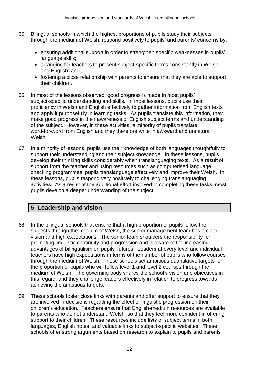- 65 Bilingual schools in which the highest proportions of pupils study their subjects through the medium of Welsh, respond positively to pupils' and parents' concerns by:
	- ensuring additional support in order to strengthen specific weaknesses in pupils' language skills;
	- arranging for teachers to present subject-specific terms consistently in Welsh and English; and
	- fostering a close relationship with parents to ensure that they are able to support their children.
- 66 In most of the lessons observed, good progress is made in most pupils' subject-specific understanding and skills. In most lessons, pupils use their proficiency in Welsh and English effectively to gather information from English texts and apply it purposefully in learning tasks. As pupils translate this information, they make good progress in their awareness of English subject terms and understanding of the subject. However, in these activities, a minority of pupils translate word-for-word from English and they therefore write in awkward and unnatural Welsh.
- 67 In a minority of lessons, pupils use their knowledge of both languages thoughtfully to support their understanding and their subject knowledge. In these lessons, pupils develop their thinking skills considerably when translanguaging texts. As a result of support from the teacher and using resources such as computerised language checking programmes, pupils translanguage effectively and improve their Welsh. In these lessons, pupils respond very positively to challenging translanguaging activities. As a result of the additional effort involved in completing these tasks, most pupils develop a deeper understanding of the subject.

# **5 Leadership and vision**

- 68 In the bilingual schools that ensure that a high proportion of pupils follow their subjects through the medium of Welsh, the senior management team has a clear vision and high expectations. The senior team shoulders the responsibility for promoting linguistic continuity and progression and is aware of the increasing advantages of bilingualism on pupils' futures. Leaders at every level and individual teachers have high expectations in terms of the number of pupils who follow courses through the medium of Welsh. These schools set ambitious quantitative targets for the proportion of pupils who will follow level 1 and level 2 courses through the medium of Welsh. The governing body shares the school's vision and objectives in this regard, and they challenge leaders effectively in relation to progress towards achieving the ambitious targets.
- 69 These schools foster close links with parents and offer support to ensure that they are involved in decisions regarding the effect of linguistic progression on their children's education. Teachers ensure that English-medium resources are available to parents who do not understand Welsh, so that they feel more confident in offering support to their children. These resources include lists of subject terms in both languages, English notes, and valuable links to subject-specific websites. These schools offer strong arguments based on research to explain to pupils and parents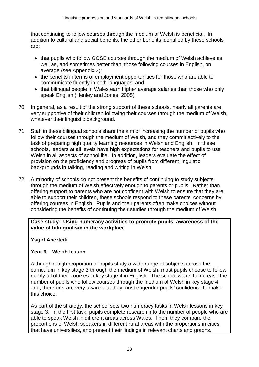that continuing to follow courses through the medium of Welsh is beneficial. In addition to cultural and social benefits, the other benefits identified by these schools are:

- that pupils who follow GCSE courses through the medium of Welsh achieve as well as, and sometimes better than, those following courses in English, on average (see Appendix 3);
- the benefits in terms of employment opportunities for those who are able to communicate fluently in both languages; and
- that bilingual people in Wales earn higher average salaries than those who only speak English (Henley and Jones, 2005).
- 70 In general, as a result of the strong support of these schools, nearly all parents are very supportive of their children following their courses through the medium of Welsh, whatever their linguistic background.
- 71 Staff in these bilingual schools share the aim of increasing the number of pupils who follow their courses through the medium of Welsh, and they commit actively to the task of preparing high quality learning resources in Welsh and English. In these schools, leaders at all levels have high expectations for teachers and pupils to use Welsh in all aspects of school life. In addition, leaders evaluate the effect of provision on the proficiency and progress of pupils from different linguistic backgrounds in talking, reading and writing in Welsh.
- 72 A minority of schools do not present the benefits of continuing to study subjects through the medium of Welsh effectively enough to parents or pupils. Rather than offering support to parents who are not confident with Welsh to ensure that they are able to support their children, these schools respond to these parents' concerns by offering courses in English. Pupils and their parents often make choices without considering the benefits of continuing their studies through the medium of Welsh.

**Case study: Using numeracy activities to promote pupils' awareness of the value of bilingualism in the workplace**

# **Ysgol Aberteifi**

# **Year 9 – Welsh lesson**

Although a high proportion of pupils study a wide range of subjects across the curriculum in key stage 3 through the medium of Welsh, most pupils choose to follow nearly all of their courses in key stage 4 in English. The school wants to increase the number of pupils who follow courses through the medium of Welsh in key stage 4 and, therefore, are very aware that they must engender pupils' confidence to make this choice.

As part of the strategy, the school sets two numeracy tasks in Welsh lessons in key stage 3. In the first task, pupils complete research into the number of people who are able to speak Welsh in different areas across Wales. Then, they compare the proportions of Welsh speakers in different rural areas with the proportions in cities that have universities, and present their findings in relevant charts and graphs.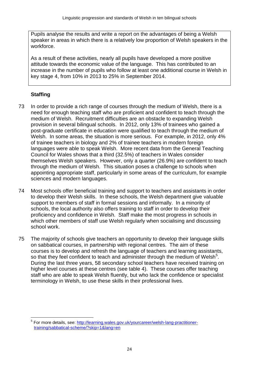Pupils analyse the results and write a report on the advantages of being a Welsh speaker in areas in which there is a relatively low proportion of Welsh speakers in the workforce.

As a result of these activities, nearly all pupils have developed a more positive attitude towards the economic value of the language. This has contributed to an increase in the number of pupils who follow at least one additional course in Welsh in key stage 4, from 10% in 2013 to 25% in September 2014.

# **Staffing**

 $\overline{a}$ 

- 73 In order to provide a rich range of courses through the medium of Welsh, there is a need for enough teaching staff who are proficient and confident to teach through the medium of Welsh. Recruitment difficulties are an obstacle to expanding Welsh provision in several bilingual schools. In 2012, only 13% of trainees who gained a post-graduate certificate in education were qualified to teach through the medium of Welsh. In some areas, the situation is more serious. For example, in 2012, only 4% of trainee teachers in biology and 2% of trainee teachers in modern foreign languages were able to speak Welsh. More recent data from the General Teaching Council for Wales shows that a third (32.5%) of teachers in Wales consider themselves Welsh speakers. However, only a quarter (26.9%) are confident to teach through the medium of Welsh. This situation poses a challenge to schools when appointing appropriate staff, particularly in some areas of the curriculum, for example sciences and modern languages.
- 74 Most schools offer beneficial training and support to teachers and assistants in order to develop their Welsh skills. In these schools, the Welsh department give valuable support to members of staff in formal sessions and informally. In a minority of schools, the local authority also offers training to staff in order to develop their proficiency and confidence in Welsh. Staff make the most progress in schools in which other members of staff use Welsh regularly when socialising and discussing school work.
- 75 The majority of schools give teachers an opportunity to develop their language skills on sabbatical courses, in partnership with regional centres. The aim of these courses is to develop and refresh the language of teachers and learning assistants, so that they feel confident to teach and administer through the medium of Welsh<sup>5</sup>. During the last three years, 58 secondary school teachers have received training on higher level courses at these centres (see table 4). These courses offer teaching staff who are able to speak Welsh fluently, but who lack the confidence or specialist terminology in Welsh, to use these skills in their professional lives.

<sup>5</sup> For more details, see: [http://learning.wales.gov.uk/yourcareer/welsh-lang-practitioner](http://learning.wales.gov.uk/yourcareer/welsh-lang-practitioner-training/sabbatical-scheme/?skip=1&lang=en)[training/sabbatical-scheme/?skip=1&lang=en](http://learning.wales.gov.uk/yourcareer/welsh-lang-practitioner-training/sabbatical-scheme/?skip=1&lang=en)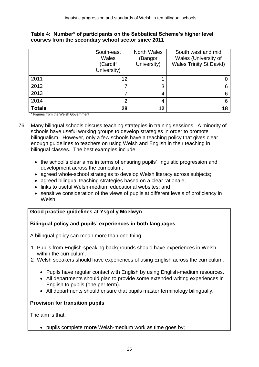| Table 4: Number* of participants on the Sabbatical Scheme's higher level |
|--------------------------------------------------------------------------|
| courses from the secondary school sector since 2011                      |

|               | South-east<br>Wales<br>(Cardiff<br>University) | <b>North Wales</b><br>(Bangor<br>University) | South west and mid<br>Wales (University of<br><b>Wales Trinity St David)</b> |
|---------------|------------------------------------------------|----------------------------------------------|------------------------------------------------------------------------------|
| 2011          | 12                                             |                                              |                                                                              |
| 2012          |                                                | 3                                            |                                                                              |
| 2013          |                                                | 4                                            |                                                                              |
| 2014          | 2                                              | 4                                            |                                                                              |
| <b>Totals</b> | 28                                             | 12                                           | 18                                                                           |

\* Figures from the Welsh Government

- 76 Many bilingual schools discuss teaching strategies in training sessions. A minority of schools have useful working groups to develop strategies in order to promote bilingualism. However, only a few schools have a teaching policy that gives clear enough guidelines to teachers on using Welsh and English in their teaching in bilingual classes. The best examples include:
	- the school's clear aims in terms of ensuring pupils' linguistic progression and development across the curriculum;
	- agreed whole-school strategies to develop Welsh literacy across subjects;
	- agreed bilingual teaching strategies based on a clear rationale:
	- links to useful Welsh-medium educational websites; and
	- sensitive consideration of the views of pupils at different levels of proficiency in Welsh.

# **Good practice guidelines at Ysgol y Moelwyn**

#### **Bilingual policy and pupils' experiences in both languages**

A bilingual policy can mean more than one thing.

- 1 Pupils from English-speaking backgrounds should have experiences in Welsh within the curriculum.
- 2 Welsh speakers should have experiences of using English across the curriculum.
	- Pupils have regular contact with English by using English-medium resources.
	- All departments should plan to provide some extended writing experiences in English to pupils (one per term).
	- All departments should ensure that pupils master terminology bilingually.

# **Provision for transition pupils**

The aim is that:

pupils complete **more** Welsh-medium work as time goes by;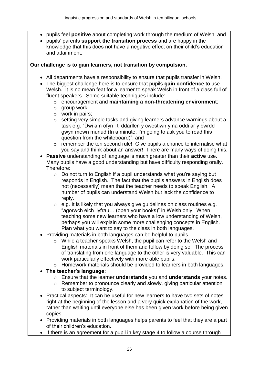- pupils feel **positive** about completing work through the medium of Welsh; and
- pupils' parents **support the transition process** and are happy in the knowledge that this does not have a negative effect on their child's education and attainment.

**Our challenge is to gain learners, not transition by compulsion.**

- All departments have a responsibility to ensure that pupils transfer in Welsh.
- The biggest challenge here is to ensure that pupils **gain confidence** to use Welsh. It is no mean feat for a learner to speak Welsh in front of a class full of fluent speakers. Some suitable techniques include:
	- o encouragement and **maintaining a non-threatening environment**;
	- o group work;
	- o work in pairs;
	- o setting very simple tasks and giving learners advance warnings about a task e.g. "Dwi am ofyn i ti ddarllen y cwestiwn yma oddi ar y bwrdd gwyn mewn munud (In a minute, I'm going to ask you to read this question from the whiteboard)"; and
	- o remember the ten second rule! Give pupils a chance to internalise what you say and think about an answer! There are many ways of doing this.
- **Passive** understanding of language is much greater than their **active** use. Many pupils have a good understanding but have difficulty responding orally. Therefore:
	- $\circ$  Do not turn to English if a pupil understands what you're saying but responds in English. The fact that the pupils answers in English does not (necessarily) mean that the teacher needs to speak English. A number of pupils can understand Welsh but lack the confidence to reply.
	- o e.g. It is likely that you always give guidelines on class routines e.g. "agorwch eich llyfrau… (open your books)" in Welsh only. When teaching some new learners who have a low understanding of Welsh, perhaps you will explain some more challenging concepts in English. Plan what you want to say to the class in both languages.
- Providing materials in both languages can be helpful to pupils.
	- o While a teacher speaks Welsh, the pupil can refer to the Welsh and English materials in front of them and follow by doing so. The process of translating from one language to the other is very valuable. This can work particularly effectively with more able pupils.
	- o Homework materials should be provided to learners in both languages.
- **The teacher's language:**
	- o Ensure that the learner **understands** you and **understands** your notes.
	- o Remember to pronounce clearly and slowly, giving particular attention to subject terminology.
- Practical aspects: It can be useful for new learners to have two sets of notes right at the beginning of the lesson and a very quick explanation of the work, rather than waiting until everyone else has been given work before being given copies.
- Providing materials in both languages helps parents to feel that they are a part of their children's education.
- If there is an agreement for a pupil in key stage 4 to follow a course through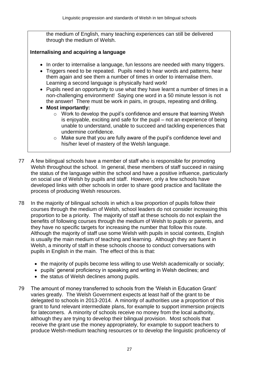the medium of English, many teaching experiences can still be delivered through the medium of Welsh.

### **Internalising and acquiring a language**

- In order to internalise a language, fun lessons are needed with many triggers.
- Triggers need to be repeated. Pupils need to hear words and patterns, hear them again and see them a number of times in order to internalise them. Learning a second language is physically hard work!
- Pupils need an opportunity to use what they have learnt a number of times in a non-challenging environment! Saying one word in a 50 minute lesson is not the answer! There must be work in pairs, in groups, repeating and drilling.
- **Most importantly:**
	- $\circ$  Work to develop the pupil's confidence and ensure that learning Welsh is enjoyable, exciting and safe for the pupil – not an experience of being unable to understand, unable to succeed and tackling experiences that undermine confidence.
	- o Make sure that you are fully aware of the pupil's confidence level and his/her level of mastery of the Welsh language.
- 77 A few bilingual schools have a member of staff who is responsible for promoting Welsh throughout the school. In general, these members of staff succeed in raising the status of the language within the school and have a positive influence, particularly on social use of Welsh by pupils and staff. However, only a few schools have developed links with other schools in order to share good practice and facilitate the process of producing Welsh resources.
- 78 In the majority of bilingual schools in which a low proportion of pupils follow their courses through the medium of Welsh, school leaders do not consider increasing this proportion to be a priority. The majority of staff at these schools do not explain the benefits of following courses through the medium of Welsh to pupils or parents, and they have no specific targets for increasing the number that follow this route. Although the majority of staff use some Welsh with pupils in social contexts, English is usually the main medium of teaching and learning. Although they are fluent in Welsh, a minority of staff in these schools choose to conduct conversations with pupils in English in the main. The effect of this is that:
	- the majority of pupils become less willing to use Welsh academically or socially;
	- pupils' general proficiency in speaking and writing in Welsh declines; and
	- the status of Welsh declines among pupils.
- 79 The amount of money transferred to schools from the 'Welsh in Education Grant' varies greatly. The Welsh Government expects at least half of the grant to be delegated to schools in 2013-2014. A minority of authorities use a proportion of this grant to fund relevant intermediate plans, for example to support immersion projects for latecomers. A minority of schools receive no money from the local authority, although they are trying to develop their bilingual provision. Most schools that receive the grant use the money appropriately, for example to support teachers to produce Welsh-medium teaching resources or to develop the linguistic proficiency of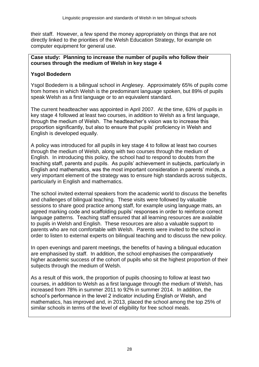their staff. However, a few spend the money appropriately on things that are not directly linked to the priorities of the Welsh Education Strategy, for example on computer equipment for general use.

#### **Case study: Planning to increase the number of pupils who follow their courses through the medium of Welsh in key stage 4**

#### **Ysgol Bodedern**

Ysgol Bodedern is a bilingual school in Anglesey. Approximately 65% of pupils come from homes in which Welsh is the predominant language spoken, but 89% of pupils speak Welsh as a first language or to an equivalent standard.

The current headteacher was appointed in April 2007. At the time, 63% of pupils in key stage 4 followed at least two courses, in addition to Welsh as a first language, through the medium of Welsh. The headteacher's vision was to increase this proportion significantly, but also to ensure that pupils' proficiency in Welsh and English is developed equally.

A policy was introduced for all pupils in key stage 4 to follow at least two courses through the medium of Welsh, along with two courses through the medium of English. In introducing this policy, the school had to respond to doubts from the teaching staff, parents and pupils. As pupils' achievement in subjects, particularly in English and mathematics, was the most important consideration in parents' minds, a very important element of the strategy was to ensure high standards across subjects, particularly in English and mathematics.

The school invited external speakers from the academic world to discuss the benefits and challenges of bilingual teaching. These visits were followed by valuable sessions to share good practice among staff, for example using language mats, an agreed marking code and scaffolding pupils' responses in order to reinforce correct language patterns. Teaching staff ensured that all learning resources are available to pupils in Welsh and English. These resources are also a valuable support to parents who are not comfortable with Welsh. Parents were invited to the school in order to listen to external experts on bilingual teaching and to discuss the new policy.

In open evenings and parent meetings, the benefits of having a bilingual education are emphasised by staff. In addition, the school emphasises the comparatively higher academic success of the cohort of pupils who sit the highest proportion of their subjects through the medium of Welsh.

As a result of this work, the proportion of pupils choosing to follow at least two courses, in addition to Welsh as a first language through the medium of Welsh, has increased from 78% in summer 2011 to 92% in summer 2014. In addition, the school's performance in the level 2 indicator including English or Welsh, and mathematics, has improved and, in 2013, placed the school among the top 25% of similar schools in terms of the level of eligibility for free school meals.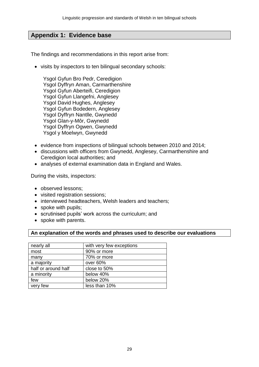# **Appendix 1: Evidence base**

The findings and recommendations in this report arise from:

• visits by inspectors to ten bilingual secondary schools:

Ysgol Gyfun Bro Pedr, Ceredigion Ysgol Dyffryn Aman, Carmarthenshire Ysgol Gyfun Aberteifi, Ceredigion Ysgol Gyfun Llangefni, Anglesey Ysgol David Hughes, Anglesey Ysgol Gyfun Bodedern, Anglesey Ysgol Dyffryn Nantlle, Gwynedd Ysgol Glan-y-Môr, Gwynedd Ysgol Dyffryn Ogwen, Gwynedd Ysgol y Moelwyn, Gwynedd

- evidence from inspections of bilingual schools between 2010 and 2014;
- discussions with officers from Gwynedd, Anglesey, Carmarthenshire and Ceredigion local authorities; and
- analyses of external examination data in England and Wales.

During the visits, inspectors:

- observed lessons:
- visited registration sessions:
- interviewed headteachers, Welsh leaders and teachers;
- spoke with pupils:
- scrutinised pupils' work across the curriculum; and
- spoke with parents.

#### **An explanation of the words and phrases used to describe our evaluations**

| nearly all          | with very few exceptions |
|---------------------|--------------------------|
| most                | 90% or more              |
| many                | 70% or more              |
| a majority          | over 60%                 |
| half or around half | close to 50%             |
| a minority          | below 40%                |
| few                 | below 20%                |
| very few            | less than 10%            |
|                     |                          |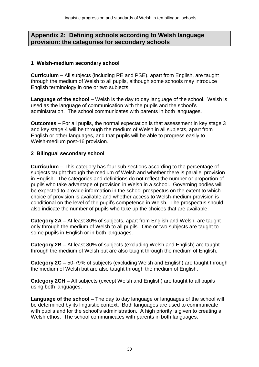# **Appendix 2: Defining schools according to Welsh language provision: the categories for secondary schools**

#### **1 Welsh-medium secondary school**

**Curriculum –** All subjects (including RE and PSE), apart from English, are taught through the medium of Welsh to all pupils, although some schools may introduce English terminology in one or two subjects.

**Language of the school –** Welsh is the day to day language of the school. Welsh is used as the language of communication with the pupils and the school's administration. The school communicates with parents in both languages.

**Outcomes –** For all pupils, the normal expectation is that assessment in key stage 3 and key stage 4 will be through the medium of Welsh in all subjects, apart from English or other languages, and that pupils will be able to progress easily to Welsh-medium post-16 provision.

#### **2 Bilingual secondary school**

**Curriculum –** This category has four sub-sections according to the percentage of subjects taught through the medium of Welsh and whether there is parallel provision in English. The categories and definitions do not reflect the number or proportion of pupils who take advantage of provision in Welsh in a school. Governing bodies will be expected to provide information in the school prospectus on the extent to which choice of provision is available and whether access to Welsh-medium provision is conditional on the level of the pupil's competence in Welsh. The prospectus should also indicate the number of pupils who take up the choices that are available.

**Category 2A –** At least 80% of subjects, apart from English and Welsh, are taught only through the medium of Welsh to all pupils. One or two subjects are taught to some pupils in English or in both languages.

**Category 2B –** At least 80% of subjects (excluding Welsh and English) are taught through the medium of Welsh but are also taught through the medium of English.

**Category 2C –** 50-79% of subjects (excluding Welsh and English) are taught through the medium of Welsh but are also taught through the medium of English.

**Category 2CH –** All subjects (except Welsh and English) are taught to all pupils using both languages.

**Language of the school –** The day to day language or languages of the school will be determined by its linguistic context. Both languages are used to communicate with pupils and for the school's administration. A high priority is given to creating a Welsh ethos. The school communicates with parents in both languages.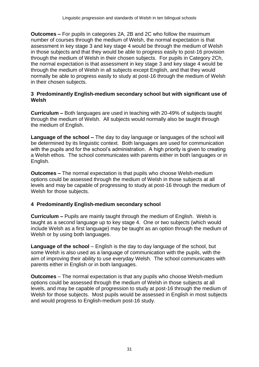**Outcomes –** For pupils in categories 2A, 2B and 2C who follow the maximum number of courses through the medium of Welsh, the normal expectation is that assessment in key stage 3 and key stage 4 would be through the medium of Welsh in those subjects and that they would be able to progress easily to post-16 provision through the medium of Welsh in their chosen subjects. For pupils in Category 2Ch, the normal expectation is that assessment in key stage 3 and key stage 4 would be through the medium of Welsh in all subjects except English, and that they would normally be able to progress easily to study at post-16 through the medium of Welsh in their chosen subjects.

#### **3 Predominantly English-medium secondary school but with significant use of Welsh**

**Curriculum –** Both languages are used in teaching with 20-49% of subjects taught through the medium of Welsh. All subjects would normally also be taught through the medium of English.

**Language of the school –** The day to day language or languages of the school will be determined by its linguistic context. Both languages are used for communication with the pupils and for the school's administration. A high priority is given to creating a Welsh ethos. The school communicates with parents either in both languages or in English.

**Outcomes –** The normal expectation is that pupils who choose Welsh-medium options could be assessed through the medium of Welsh in those subjects at all levels and may be capable of progressing to study at post-16 through the medium of Welsh for those subjects.

#### **4 Predominantly English-medium secondary school**

**Curriculum –** Pupils are mainly taught through the medium of English. Welsh is taught as a second language up to key stage 4. One or two subjects (which would include Welsh as a first language) may be taught as an option through the medium of Welsh or by using both languages.

**Language of the school** – English is the day to day language of the school, but some Welsh is also used as a language of communication with the pupils, with the aim of improving their ability to use everyday Welsh. The school communicates with parents either in English or in both languages.

**Outcomes** – The normal expectation is that any pupils who choose Welsh-medium options could be assessed through the medium of Welsh in those subjects at all levels, and may be capable of progression to study at post-16 through the medium of Welsh for those subjects. Most pupils would be assessed in English in most subjects and would progress to English-medium post-16 study.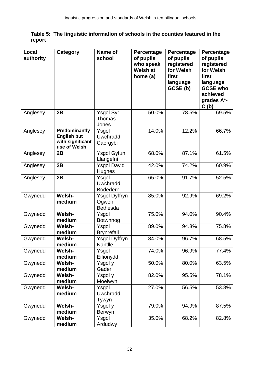|        | Table 5: The linguistic information of schools in the counties featured in the |
|--------|--------------------------------------------------------------------------------|
| report |                                                                                |

| Local<br>authority | Category                                                                | Name of<br>school                         | Percentage<br>of pupils      | Percentage<br>of pupils       | Percentage<br>of pupils                                                |
|--------------------|-------------------------------------------------------------------------|-------------------------------------------|------------------------------|-------------------------------|------------------------------------------------------------------------|
|                    |                                                                         |                                           | who speak<br><b>Welsh at</b> | registered<br>for Welsh       | registered<br>for Welsh                                                |
|                    |                                                                         |                                           | home (a)                     | first<br>language<br>GCSE (b) | first<br>language<br><b>GCSE who</b><br>achieved<br>grades A*-<br>C(b) |
| Anglesey           | 2B                                                                      | Ysgol Syr<br>Thomas<br>Jones              | 50.0%                        | 78.5%                         | 69.5%                                                                  |
| Anglesey           | Predominantly<br><b>English but</b><br>with significant<br>use of Welsh | Ysgol<br>Uwchradd<br>Caergybi             | 14.0%                        | 12.2%                         | 66.7%                                                                  |
| Anglesey           | 2B                                                                      | <b>Ysgol Gyfun</b><br>Llangefni           | 68.0%                        | 87.1%                         | 61.5%                                                                  |
| Anglesey           | 2B                                                                      | <b>Ysgol David</b><br>Hughes              | 42.0%                        | 74.2%                         | 60.9%                                                                  |
| Anglesey           | 2B                                                                      | Ysgol<br>Uwchradd<br><b>Bodedern</b>      | 65.0%                        | 91.7%                         | 52.5%                                                                  |
| Gwynedd            | Welsh-<br>medium                                                        | Ysgol Dyffryn<br>Ogwen<br><b>Bethesda</b> | 85.0%                        | 92.9%                         | 69.2%                                                                  |
| Gwynedd            | Welsh-<br>medium                                                        | Ysgol<br>Botwnnog                         | 75.0%                        | 94.0%                         | 90.4%                                                                  |
| Gwynedd            | Welsh-<br>medium                                                        | Ysgol<br><b>Brynrefail</b>                | 89.0%                        | 94.3%                         | 75.8%                                                                  |
| Gwynedd            | Welsh-<br>medium                                                        | <b>Ysgol Dyffryn</b><br>Nantlle           | 84.0%                        | 96.7%                         | 68.5%                                                                  |
| Gwynedd            | Welsh-<br>medium                                                        | Ysgol<br>Eifionydd                        | 74.0%                        | 96.9%                         | 77.4%                                                                  |
| Gwynedd            | Welsh-<br>medium                                                        | Ysgol y<br>Gader                          | 50.0%                        | 80.0%                         | 63.5%                                                                  |
| Gwynedd            | Welsh-<br>medium                                                        | Ysgol y<br>Moelwyn                        | 82.0%                        | 95.5%                         | 78.1%                                                                  |
| Gwynedd            | Welsh-<br>medium                                                        | Ysgol<br>Uwchradd<br>Tywyn                | 27.0%                        | 56.5%                         | 53.8%                                                                  |
| Gwynedd            | Welsh-<br>medium                                                        | Ysgol y<br>Berwyn                         | 79.0%                        | 94.9%                         | 87.5%                                                                  |
| Gwynedd            | Welsh-<br>medium                                                        | Ysgol<br>Ardudwy                          | 35.0%                        | 68.2%                         | 82.8%                                                                  |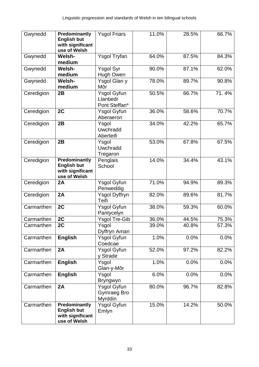| Gwynedd    | Predominantly<br><b>English but</b><br>with significant<br>use of Welsh | <b>Ysgol Friars</b>                      | 11.0% | 28.5% | 66.7% |
|------------|-------------------------------------------------------------------------|------------------------------------------|-------|-------|-------|
| Gwynedd    | Welsh-<br>medium                                                        | <b>Ysgol Tryfan</b>                      | 64.0% | 87.5% | 84.3% |
| Gwynedd    | Welsh-<br>medium                                                        | $\overline{Y}$ sgol Syr<br>Hugh Owen     | 90.0% | 87.1% | 62.0% |
| Gwynedd    | Welsh-<br>medium                                                        | Ysgol Glan y<br>Môr                      | 78.0% | 89.7% | 90.8% |
| Ceredigion | 2B                                                                      | Ysgol Gyfun<br>Llanbedr<br>Pont Steffan* | 50.5% | 66.7% | 71.4% |
| Ceredigion | 2C                                                                      | Ysgol Gyfun<br>Aberaeron                 | 36.0% | 58.6% | 70.7% |
| Ceredigion | 2B                                                                      | Ysgol<br>Uwchradd<br>Aberteifi           | 34.0% | 42.2% | 65.7% |
| Ceredigion | 2B                                                                      | Ysgol<br>Uwchradd<br>Tregaron            | 53.0% | 67.8% | 67.5% |
| Ceredigion | Predominantly<br><b>English but</b><br>with significant<br>use of Welsh | Penglais<br>School                       | 14.0% | 34.4% | 43.1% |
| Ceredigion | 2A                                                                      | <b>Ysgol Gyfun</b><br>Penweddig          | 71.0% | 94.9% | 89.3% |
| Ceredigion | 2A                                                                      | Ysgol Dyffryn<br>Teifi                   | 82.0% | 89.6% | 81.7% |
| Carmarthen | 2C                                                                      | <b>Ysgol Gyfun</b><br>Pantycelyn         | 38.0% | 59.3% | 60.0% |
| Carmarthen | 2C                                                                      | <b>Ysgol Tre-Gib</b>                     | 36.0% | 44.5% | 75.3% |
| Carmarthen | 2C                                                                      | $\overline{Y}$ sgol<br>Dyffryn Aman      | 39.0% | 40.8% | 57.3% |
| Carmarthen | <b>English</b>                                                          | <b>Ysgol Gyfun</b><br>Coedcae            | 1.0%  | 0.0%  | 0.0%  |
| Carmarthen | 2A                                                                      | Ysgol Gyfun<br>v Strade                  | 52.0% | 97.2% | 82.2% |
| Carmarthen | <b>English</b>                                                          | Ysgol<br>Glan-y-Môr                      | 1.0%  | 0.0%  | 0.0%  |
| Carmarthen | <b>English</b>                                                          | Ysgol<br><b>Bryngwyn</b>                 | 6.0%  | 0.0%  | 0.0%  |
| Carmarthen | 2A                                                                      | Ysgol Gyfun<br>Gymraeg Bro<br>Myrddin    | 80.0% | 96.7% | 82.8% |
| Carmarthen | Predominantly<br><b>English but</b><br>with significant<br>use of Welsh | <b>Ysgol Gyfun</b><br>Emlyn              | 15.0% | 14.2% | 50.0% |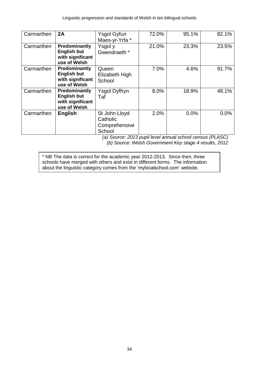| Carmarthen | 2A                                                                      | Ysgol Gyfun<br>Maes-yr-Yrfa *                        | 72.0% | 95.1% | 82.1% |
|------------|-------------------------------------------------------------------------|------------------------------------------------------|-------|-------|-------|
| Carmarthen | Predominantly<br><b>English but</b><br>with significant<br>use of Welsh | Ysgol y<br>Gwendraeth *                              | 21.0% | 23.3% | 23.5% |
| Carmarthen | Predominantly<br><b>English but</b><br>with significant<br>use of Welsh | Queen<br>Elizabeth High<br>School                    | 7.0%  | 4.6%  | 91.7% |
| Carmarthen | Predominantly<br><b>English but</b><br>with significant<br>use of Welsh | <b>Ysgol Dyffryn</b><br>Taf                          | 8.0%  | 18.9% | 48.1% |
| Carmarthen | <b>English</b>                                                          | St John Lloyd<br>Catholic<br>Comprehensive<br>School | 2.0%  | 0.0%  | 0.0%  |

*(a) Source: 2013 pupil level annual school census (PLASC) (b) Source: Welsh Government Key stage 4 results, 2012*

\* NB The data is correct for the academic year 2012-2013. Since then, three schools have merged with others and exist in different forms. The information about the linguistic category comes from the 'mylocalschool.com' website.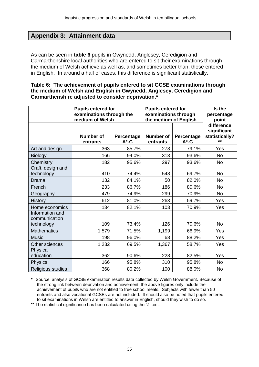# **Appendix 3: Attainment data**

As can be seen in **table 6** pupils in Gwynedd, Anglesey, Ceredigion and Carmarthenshire local authorities who are entered to sit their examinations through the medium of Welsh achieve as well as, and sometimes better than, those entered in English. In around a half of cases, this difference is significant statistically.

#### **Table 6: The achievement of pupils entered to sit GCSE examinations through the medium of Welsh and English in Gwynedd, Anglesey, Ceredigion and Carmarthenshire adjusted to consider deprivation.\***

|                                                | <b>Pupils entered for</b><br>examinations through the<br>medium of Welsh |                        | <b>Pupils entered for</b><br>examinations through<br>the medium of English |                        | Is the<br>percentage<br>point                        |
|------------------------------------------------|--------------------------------------------------------------------------|------------------------|----------------------------------------------------------------------------|------------------------|------------------------------------------------------|
|                                                | Number of<br>entrants                                                    | Percentage<br>$A^*$ -C | <b>Number of</b><br>entrants                                               | Percentage<br>$A^*$ -C | difference<br>significant<br>statistically?<br>$+ +$ |
| Art and design                                 | 363                                                                      | 85.7%                  | 278                                                                        | 79.1%                  | Yes                                                  |
| <b>Biology</b>                                 | 166                                                                      | 94.0%                  | 313                                                                        | 93.6%                  | <b>No</b>                                            |
| Chemistry                                      | 182                                                                      | 95.6%                  | 297                                                                        | 93.6%                  | <b>No</b>                                            |
| Craft, design and<br>technology                | 410                                                                      | 74.4%                  | 548                                                                        | 69.7%                  | <b>No</b>                                            |
| Drama                                          | 132                                                                      | 84.1%                  | 50                                                                         | 82.0%                  | <b>No</b>                                            |
| French                                         | 233                                                                      | 86.7%                  | 186                                                                        | 80.6%                  | <b>No</b>                                            |
| Geography                                      | 479                                                                      | 74.9%                  | 299                                                                        | 70.9%                  | <b>No</b>                                            |
| <b>History</b>                                 | 612                                                                      | 81.0%                  | 263                                                                        | 59.7%                  | Yes                                                  |
| Home economics                                 | 134                                                                      | 82.1%                  | 103                                                                        | 70.9%                  | Yes                                                  |
| Information and<br>communication<br>technology | 109                                                                      | 73.4%                  | 126                                                                        | 70.6%                  | <b>No</b>                                            |
| <b>Mathematics</b>                             | 1,579                                                                    | 71.5%                  | 1,199                                                                      | 66.9%                  | Yes                                                  |
| <b>Music</b>                                   | 198                                                                      | 96.0%                  | 68                                                                         | 88.2%                  | Yes                                                  |
| Other sciences                                 | 1,232                                                                    | 69.5%                  | 1,367                                                                      | 58.7%                  | Yes                                                  |
| Physical<br>education                          | 362                                                                      | 90.6%                  | 228                                                                        | 82.5%                  | Yes                                                  |
| <b>Physics</b>                                 | 166                                                                      | 95.8%                  | 310                                                                        | 95.8%                  | <b>No</b>                                            |
| Religious studies                              | 368                                                                      | 80.2%                  | 100                                                                        | 88.0%                  | <b>No</b>                                            |

**\*** Source: analysis of GCSE examination results data collected by Welsh Government. Because of the strong link between deprivation and achievement, the above figures only include the achievement of pupils who are not entitled to free school meals. Subjects with fewer than 50 entrants and also vocational GCSEs are not included. It should also be noted that pupils entered to sit examinations in Welsh are entitled to answer in English, should they wish to do so.

\*\* The statistical significance has been calculated using the 'Z' test.